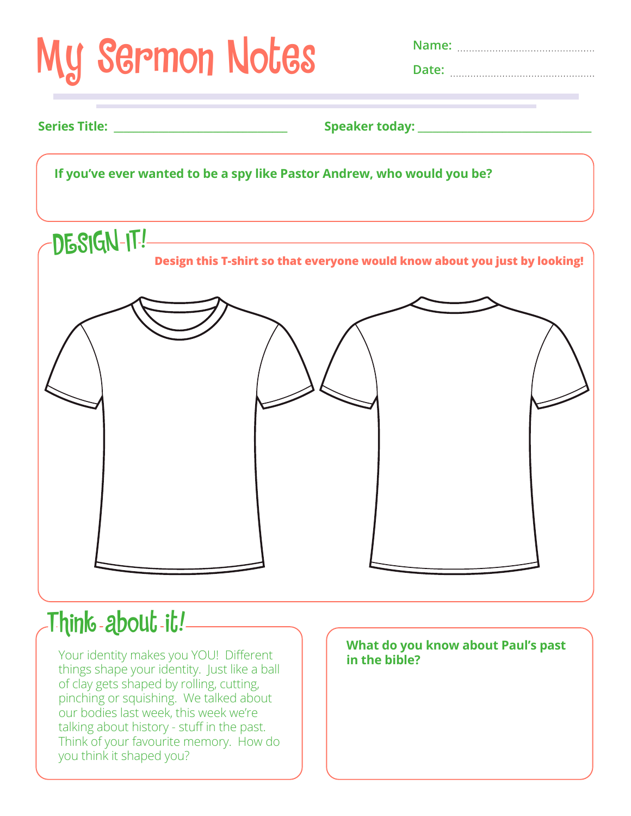

## Think about it!

Your identity makes you YOU! Different things shape your identity. Just like a ball of clay gets shaped by rolling, cutting, pinching or squishing. We talked about our bodies last week, this week we're talking about history - stuff in the past. Think of your favourite memory. How do you think it shaped you?

**What do you know about Paul's past in the bible?**